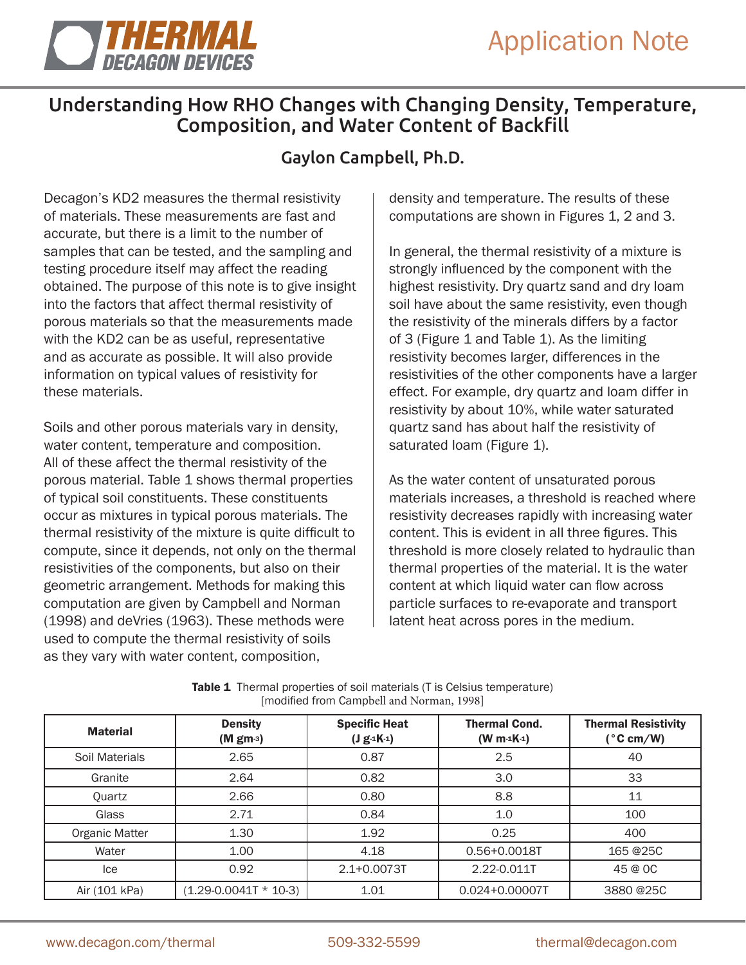

## Understanding How RHO Changes with Changing Density, Temperature, Composition, and Water Content of Backfill

## Gaylon Campbell, Ph.D.

Decagon's KD2 measures the thermal resistivity of materials. These measurements are fast and accurate, but there is a limit to the number of samples that can be tested, and the sampling and testing procedure itself may affect the reading obtained. The purpose of this note is to give insight into the factors that affect thermal resistivity of porous materials so that the measurements made with the KD2 can be as useful, representative and as accurate as possible. It will also provide information on typical values of resistivity for these materials.

Soils and other porous materials vary in density, water content, temperature and composition. All of these affect the thermal resistivity of the porous material. Table 1 shows thermal properties of typical soil constituents. These constituents occur as mixtures in typical porous materials. The thermal resistivity of the mixture is quite difficult to compute, since it depends, not only on the thermal resistivities of the components, but also on their geometric arrangement. Methods for making this computation are given by Campbell and Norman (1998) and deVries (1963). These methods were used to compute the thermal resistivity of soils as they vary with water content, composition,

density and temperature. The results of these computations are shown in Figures 1, 2 and 3.

In general, the thermal resistivity of a mixture is strongly influenced by the component with the highest resistivity. Dry quartz sand and dry loam soil have about the same resistivity, even though the resistivity of the minerals differs by a factor of 3 (Figure 1 and Table 1). As the limiting resistivity becomes larger, differences in the resistivities of the other components have a larger effect. For example, dry quartz and loam differ in resistivity by about 10%, while water saturated quartz sand has about half the resistivity of saturated loam (Figure 1).

As the water content of unsaturated porous materials increases, a threshold is reached where resistivity decreases rapidly with increasing water content. This is evident in all three figures. This threshold is more closely related to hydraulic than thermal properties of the material. It is the water content at which liquid water can flow across particle surfaces to re-evaporate and transport latent heat across pores in the medium.

| <b>Material</b> | <b>Density</b><br>(Mgm3)    | <b>Specific Heat</b><br>$(J g 4K-1)$ | <b>Thermal Cond.</b><br>$(W m 1K-1)$ | <b>Thermal Resistivity</b><br>$(^{\circ}C \text{ cm}/W)$ |
|-----------------|-----------------------------|--------------------------------------|--------------------------------------|----------------------------------------------------------|
| Soil Materials  | 2.65                        | 0.87                                 | 2.5                                  | 40                                                       |
| Granite         | 2.64                        | 0.82                                 | 3.0                                  | 33                                                       |
| Quartz          | 2.66                        | 0.80                                 | 8.8                                  | 11                                                       |
| Glass           | 2.71                        | 0.84                                 | 1.0                                  | 100                                                      |
| Organic Matter  | 1.30                        | 1.92                                 | 0.25                                 | 400                                                      |
| Water           | 1.00                        | 4.18                                 | $0.56 + 0.0018T$                     | 165 @25C                                                 |
| lce             | 0.92                        | $2.1 + 0.0073T$                      | 2.22-0.011T                          | 45 @ OC                                                  |
| Air (101 kPa)   | $(1.29 - 0.0041T * 10 - 3)$ | 1.01                                 | 0.024+0.00007T                       | 3880 @25C                                                |

| <b>Table 1</b> Thermal properties of soil materials (T is Celsius temperature) |
|--------------------------------------------------------------------------------|
| [modified from Campbell and Norman, 1998]                                      |